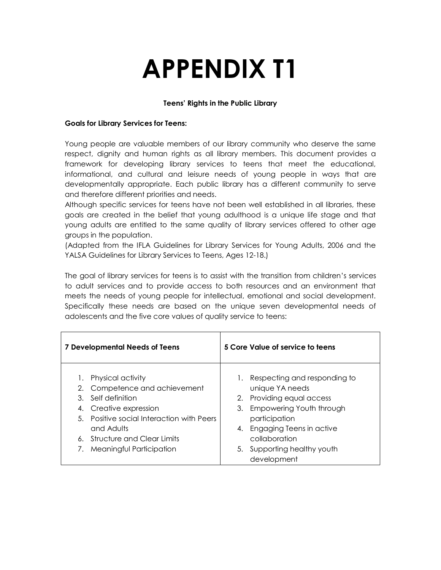# **APPENDIX T1**

## **Teens' Rights in the Public Library**

#### **Goals for Library Services for Teens:**

Young people are valuable members of our library community who deserve the same respect, dignity and human rights as all library members. This document provides a framework for developing library services to teens that meet the educational, informational, and cultural and leisure needs of young people in ways that are developmentally appropriate. Each public library has a different community to serve and therefore different priorities and needs.

Although specific services for teens have not been well established in all libraries, these goals are created in the belief that young adulthood is a unique life stage and that young adults are entitled to the same quality of library services offered to other age groups in the population.

(Adapted from the IFLA Guidelines for Library Services for Young Adults, 2006 and the YALSA Guidelines for Library Services to Teens, Ages 12-18.)

The goal of library services for teens is to assist with the transition from children's services to adult services and to provide access to both resources and an environment that meets the needs of young people for intellectual, emotional and social development. Specifically these needs are based on the unique seven developmental needs of adolescents and the five core values of quality service to teens:

| <b>7 Developmental Needs of Teens</b>                                                                                                                                                                                               | 5 Core Value of service to teens                                                                                                                                                                                                    |
|-------------------------------------------------------------------------------------------------------------------------------------------------------------------------------------------------------------------------------------|-------------------------------------------------------------------------------------------------------------------------------------------------------------------------------------------------------------------------------------|
| Physical activity<br>Competence and achievement<br>2.<br>Self definition<br>3.<br>Creative expression<br>4.<br>5. Positive social Interaction with Peers<br>and Adults<br>6. Structure and Clear Limits<br>Meaningful Participation | Respecting and responding to<br>unique YA needs<br>Providing equal access<br>2.<br>Empowering Youth through<br>3.<br>participation<br>Engaging Teens in active<br>4.<br>collaboration<br>5. Supporting healthy youth<br>development |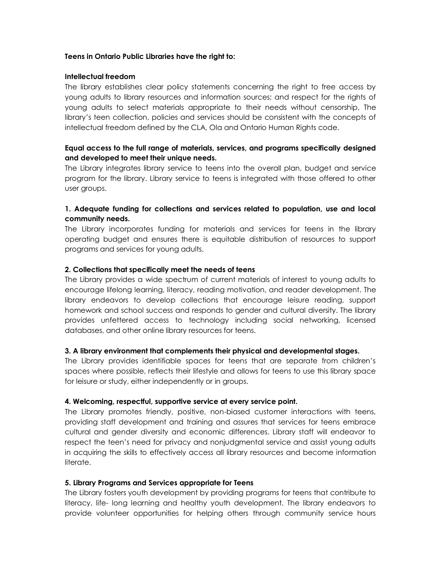#### **Teens in Ontario Public Libraries have the right to:**

#### **Intellectual freedom**

The library establishes clear policy statements concerning the right to free access by young adults to library resources and information sources; and respect for the rights of young adults to select materials appropriate to their needs without censorship, The library's teen collection, policies and services should be consistent with the concepts of intellectual freedom defined by the CLA, Ola and Ontario Human Rights code.

### **Equal access to the full range of materials, services, and programs specifically designed and developed to meet their unique needs.**

The Library integrates library service to teens into the overall plan, budget and service program for the library. Library service to teens is integrated with those offered to other user groups.

## **1. Adequate funding for collections and services related to population, use and local community needs.**

The Library incorporates funding for materials and services for teens in the library operating budget and ensures there is equitable distribution of resources to support programs and services for young adults.

#### **2. Collections that specifically meet the needs of teens**

The Library provides a wide spectrum of current materials of interest to young adults to encourage lifelong learning, literacy, reading motivation, and reader development. The library endeavors to develop collections that encourage leisure reading, support homework and school success and responds to gender and cultural diversity. The library provides unfettered access to technology including social networking, licensed databases, and other online library resources for teens.

#### **3. A library environment that complements their physical and developmental stages.**

The Library provides identifiable spaces for teens that are separate from children's spaces where possible, reflects their lifestyle and allows for teens to use this library space for leisure or study, either independently or in groups.

#### **4. Welcoming, respectful, supportive service at every service point.**

The Library promotes friendly, positive, non-biased customer interactions with teens, providing staff development and training and assures that services for teens embrace cultural and gender diversity and economic differences. Library staff will endeavor to respect the teen's need for privacy and nonjudgmental service and assist young adults in acquiring the skills to effectively access all library resources and become information literate.

#### **5. Library Programs and Services appropriate for Teens**

The Library fosters youth development by providing programs for teens that contribute to literacy, life- long learning and healthy youth development. The library endeavors to provide volunteer opportunities for helping others through community service hours